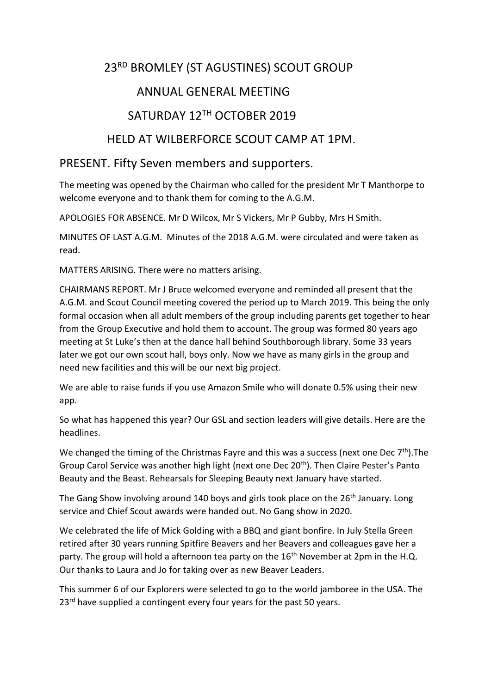# 23RD BROMLEY (ST AGUSTINES) SCOUT GROUP

## ANNUAL GENERAL MEETING

# SATURDAY 12TH OCTOBER 2019

## HELD AT WILBERFORCE SCOUT CAMP AT 1PM.

### PRESENT. Fifty Seven members and supporters.

The meeting was opened by the Chairman who called for the president Mr T Manthorpe to welcome everyone and to thank them for coming to the A.G.M.

APOLOGIES FOR ABSENCE. Mr D Wilcox, Mr S Vickers, Mr P Gubby, Mrs H Smith.

MINUTES OF LAST A.G.M. Minutes of the 2018 A.G.M. were circulated and were taken as read.

MATTERS ARISING. There were no matters arising.

CHAIRMANS REPORT. Mr J Bruce welcomed everyone and reminded all present that the A.G.M. and Scout Council meeting covered the period up to March 2019. This being the only formal occasion when all adult members of the group including parents get together to hear from the Group Executive and hold them to account. The group was formed 80 years ago meeting at St Luke's then at the dance hall behind Southborough library. Some 33 years later we got our own scout hall, boys only. Now we have as many girls in the group and need new facilities and this will be our next big project.

We are able to raise funds if you use Amazon Smile who will donate 0.5% using their new app.

So what has happened this year? Our GSL and section leaders will give details. Here are the headlines.

We changed the timing of the Christmas Fayre and this was a success (next one Dec  $7<sup>th</sup>$ ). The Group Carol Service was another high light (next one Dec 20<sup>th</sup>). Then Claire Pester's Panto Beauty and the Beast. Rehearsals for Sleeping Beauty next January have started.

The Gang Show involving around 140 boys and girls took place on the 26<sup>th</sup> January. Long service and Chief Scout awards were handed out. No Gang show in 2020.

We celebrated the life of Mick Golding with a BBQ and giant bonfire. In July Stella Green retired after 30 years running Spitfire Beavers and her Beavers and colleagues gave her a party. The group will hold a afternoon tea party on the 16<sup>th</sup> November at 2pm in the H.Q. Our thanks to Laura and Jo for taking over as new Beaver Leaders.

This summer 6 of our Explorers were selected to go to the world jamboree in the USA. The 23<sup>rd</sup> have supplied a contingent every four years for the past 50 years.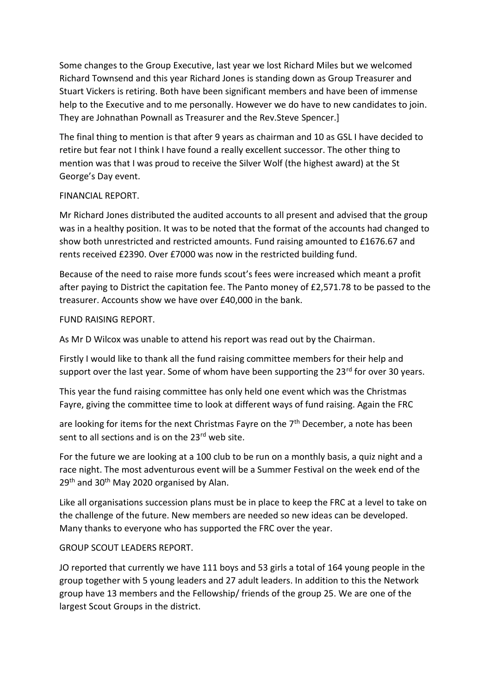Some changes to the Group Executive, last year we lost Richard Miles but we welcomed Richard Townsend and this year Richard Jones is standing down as Group Treasurer and Stuart Vickers is retiring. Both have been significant members and have been of immense help to the Executive and to me personally. However we do have to new candidates to join. They are Johnathan Pownall as Treasurer and the Rev.Steve Spencer.]

The final thing to mention is that after 9 years as chairman and 10 as GSL I have decided to retire but fear not I think I have found a really excellent successor. The other thing to mention was that I was proud to receive the Silver Wolf (the highest award) at the St George's Day event.

### FINANCIAL REPORT.

Mr Richard Jones distributed the audited accounts to all present and advised that the group was in a healthy position. It was to be noted that the format of the accounts had changed to show both unrestricted and restricted amounts. Fund raising amounted to £1676.67 and rents received £2390. Over £7000 was now in the restricted building fund.

Because of the need to raise more funds scout's fees were increased which meant a profit after paying to District the capitation fee. The Panto money of £2,571.78 to be passed to the treasurer. Accounts show we have over £40,000 in the bank.

FUND RAISING REPORT.

As Mr D Wilcox was unable to attend his report was read out by the Chairman.

Firstly I would like to thank all the fund raising committee members for their help and support over the last year. Some of whom have been supporting the 23<sup>rd</sup> for over 30 years.

This year the fund raising committee has only held one event which was the Christmas Fayre, giving the committee time to look at different ways of fund raising. Again the FRC

are looking for items for the next Christmas Fayre on the  $7<sup>th</sup>$  December, a note has been sent to all sections and is on the 23<sup>rd</sup> web site.

For the future we are looking at a 100 club to be run on a monthly basis, a quiz night and a race night. The most adventurous event will be a Summer Festival on the week end of the 29<sup>th</sup> and 30<sup>th</sup> May 2020 organised by Alan.

Like all organisations succession plans must be in place to keep the FRC at a level to take on the challenge of the future. New members are needed so new ideas can be developed. Many thanks to everyone who has supported the FRC over the year.

### GROUP SCOUT LEADERS REPORT.

JO reported that currently we have 111 boys and 53 girls a total of 164 young people in the group together with 5 young leaders and 27 adult leaders. In addition to this the Network group have 13 members and the Fellowship/ friends of the group 25. We are one of the largest Scout Groups in the district.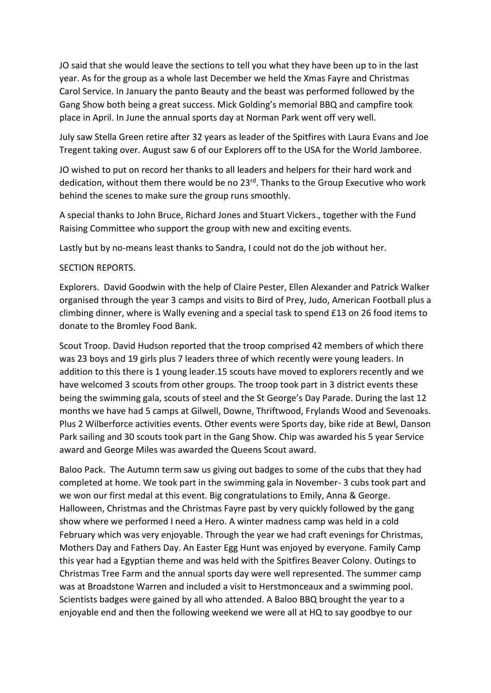JO said that she would leave the sections to tell you what they have been up to in the last year. As for the group as a whole last December we held the Xmas Fayre and Christmas Carol Service. In January the panto Beauty and the beast was performed followed by the Gang Show both being a great success. Mick Golding's memorial BBQ and campfire took place in April. In June the annual sports day at Norman Park went off very well.

July saw Stella Green retire after 32 years as leader of the Spitfires with Laura Evans and Joe Tregent taking over. August saw 6 of our Explorers off to the USA for the World Jamboree.

JO wished to put on record her thanks to all leaders and helpers for their hard work and dedication, without them there would be no 23<sup>rd</sup>. Thanks to the Group Executive who work behind the scenes to make sure the group runs smoothly.

A special thanks to John Bruce, Richard Jones and Stuart Vickers., together with the Fund Raising Committee who support the group with new and exciting events.

Lastly but by no-means least thanks to Sandra, I could not do the job without her.

### SECTION REPORTS.

Explorers. David Goodwin with the help of Claire Pester, Ellen Alexander and Patrick Walker organised through the year 3 camps and visits to Bird of Prey, Judo, American Football plus a climbing dinner, where is Wally evening and a special task to spend £13 on 26 food items to donate to the Bromley Food Bank.

Scout Troop. David Hudson reported that the troop comprised 42 members of which there was 23 boys and 19 girls plus 7 leaders three of which recently were young leaders. In addition to this there is 1 young leader.15 scouts have moved to explorers recently and we have welcomed 3 scouts from other groups. The troop took part in 3 district events these being the swimming gala, scouts of steel and the St George's Day Parade. During the last 12 months we have had 5 camps at Gilwell, Downe, Thriftwood, Frylands Wood and Sevenoaks. Plus 2 Wilberforce activities events. Other events were Sports day, bike ride at Bewl, Danson Park sailing and 30 scouts took part in the Gang Show. Chip was awarded his 5 year Service award and George Miles was awarded the Queens Scout award.

Baloo Pack. The Autumn term saw us giving out badges to some of the cubs that they had completed at home. We took part in the swimming gala in November- 3 cubs took part and we won our first medal at this event. Big congratulations to Emily, Anna & George. Halloween, Christmas and the Christmas Fayre past by very quickly followed by the gang show where we performed I need a Hero. A winter madness camp was held in a cold February which was very enjoyable. Through the year we had craft evenings for Christmas, Mothers Day and Fathers Day. An Easter Egg Hunt was enjoyed by everyone. Family Camp this year had a Egyptian theme and was held with the Spitfires Beaver Colony. Outings to Christmas Tree Farm and the annual sports day were well represented. The summer camp was at Broadstone Warren and included a visit to Herstmonceaux and a swimming pool. Scientists badges were gained by all who attended. A Baloo BBQ brought the year to a enjoyable end and then the following weekend we were all at HQ to say goodbye to our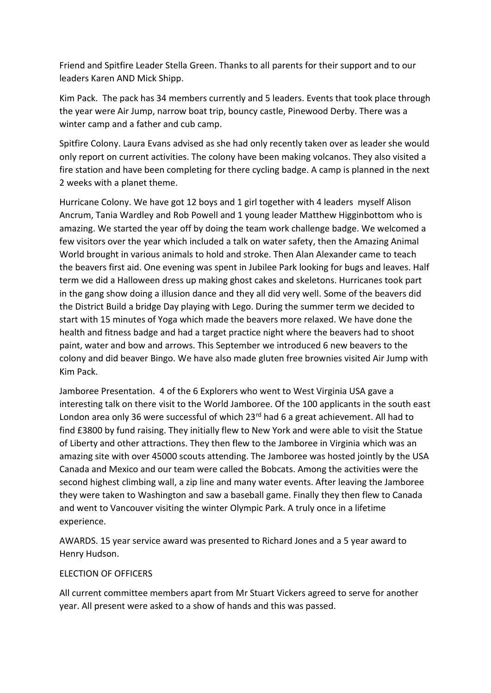Friend and Spitfire Leader Stella Green. Thanks to all parents for their support and to our leaders Karen AND Mick Shipp.

Kim Pack. The pack has 34 members currently and 5 leaders. Events that took place through the year were Air Jump, narrow boat trip, bouncy castle, Pinewood Derby. There was a winter camp and a father and cub camp.

Spitfire Colony. Laura Evans advised as she had only recently taken over as leader she would only report on current activities. The colony have been making volcanos. They also visited a fire station and have been completing for there cycling badge. A camp is planned in the next 2 weeks with a planet theme.

Hurricane Colony. We have got 12 boys and 1 girl together with 4 leaders myself Alison Ancrum, Tania Wardley and Rob Powell and 1 young leader Matthew Higginbottom who is amazing. We started the year off by doing the team work challenge badge. We welcomed a few visitors over the year which included a talk on water safety, then the Amazing Animal World brought in various animals to hold and stroke. Then Alan Alexander came to teach the beavers first aid. One evening was spent in Jubilee Park looking for bugs and leaves. Half term we did a Halloween dress up making ghost cakes and skeletons. Hurricanes took part in the gang show doing a illusion dance and they all did very well. Some of the beavers did the District Build a bridge Day playing with Lego. During the summer term we decided to start with 15 minutes of Yoga which made the beavers more relaxed. We have done the health and fitness badge and had a target practice night where the beavers had to shoot paint, water and bow and arrows. This September we introduced 6 new beavers to the colony and did beaver Bingo. We have also made gluten free brownies visited Air Jump with Kim Pack.

Jamboree Presentation. 4 of the 6 Explorers who went to West Virginia USA gave a interesting talk on there visit to the World Jamboree. Of the 100 applicants in the south east London area only 36 were successful of which 23<sup>rd</sup> had 6 a great achievement. All had to find £3800 by fund raising. They initially flew to New York and were able to visit the Statue of Liberty and other attractions. They then flew to the Jamboree in Virginia which was an amazing site with over 45000 scouts attending. The Jamboree was hosted jointly by the USA Canada and Mexico and our team were called the Bobcats. Among the activities were the second highest climbing wall, a zip line and many water events. After leaving the Jamboree they were taken to Washington and saw a baseball game. Finally they then flew to Canada and went to Vancouver visiting the winter Olympic Park. A truly once in a lifetime experience.

AWARDS. 15 year service award was presented to Richard Jones and a 5 year award to Henry Hudson.

#### ELECTION OF OFFICERS

All current committee members apart from Mr Stuart Vickers agreed to serve for another year. All present were asked to a show of hands and this was passed.